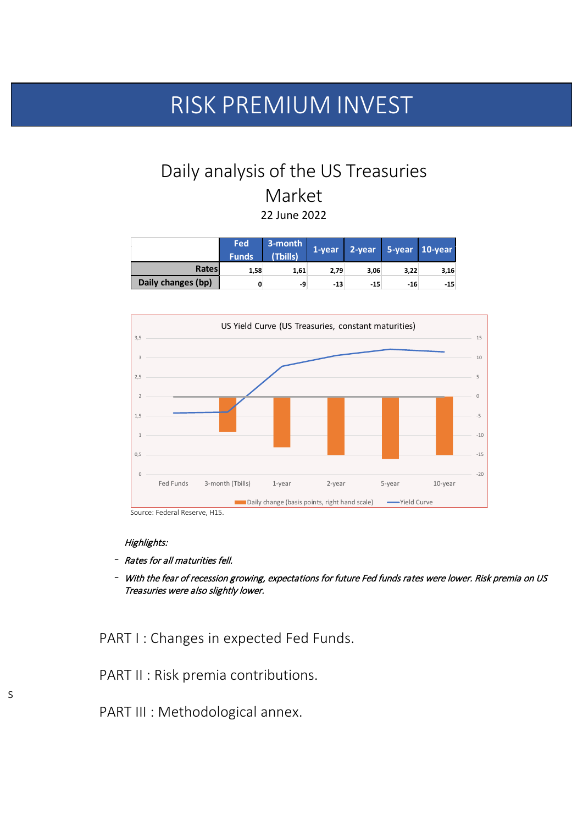# Daily analysis of the US Treasuries Market 22 June 2022

|                    | <b>Fed</b><br><b>Funds</b> | $3$ -month<br>(Tbills) |       |       |       | 1-year 2-year 5-year 10-year |
|--------------------|----------------------------|------------------------|-------|-------|-------|------------------------------|
| Rates              | 1,58                       | 1,61                   | 2,79  | 3,06  | 3,22  | 3,16                         |
| Daily changes (bp) |                            | -9                     | $-13$ | $-15$ | $-16$ | $-15$                        |



|  | $\blacksquare$ Daliy Grafige (Dasis politics, right fially scale).<br>TICIU CUI VC |  |
|--|------------------------------------------------------------------------------------|--|
|  |                                                                                    |  |

Source: Federal Reserve, H15.

Highlights:

- Rates for all maturities fell.
- With the fear of recession growing, expectations for future Fed funds rates were lower. Risk premia on US Treasuries were also slightly lower.

PART I : Changes in expected Fed Funds.

PART II : Risk premia contributions.

PART III : Methodological annex.

# RISK PREMIUM INVEST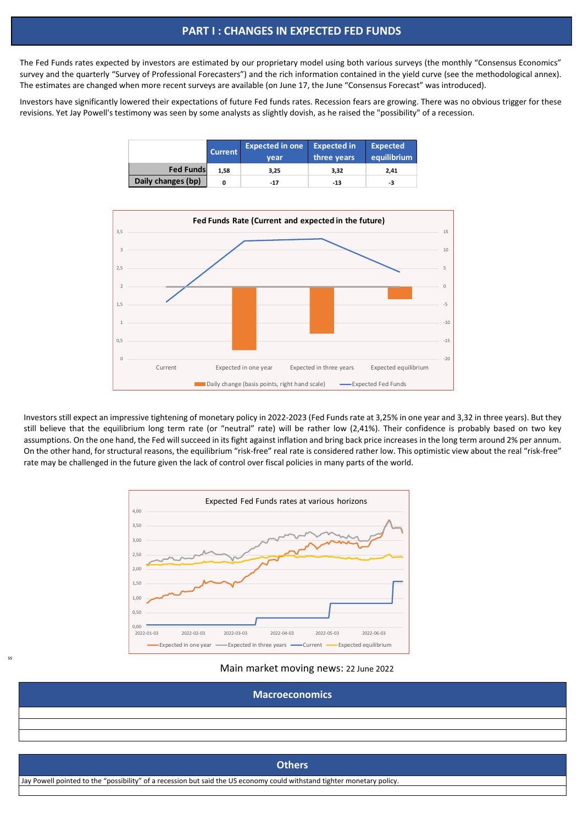The Fed Funds rates expected by investors are estimated by our proprietary model using both various surveys (the monthly "Consensus Economics" survey and the quarterly "Survey of Professional Forecasters") and the rich information contained in the yield curve (see the methodological annex). The estimates are changed when more recent surveys are available (on June 17, the June "Consensus Forecast" was introduced).

Investors have significantly lowered their expectations of future Fed funds rates. Recession fears are growing. There was no obvious trigger for these revisions. Yet Jay Powell's testimony was seen by some analysts as slightly dovish, as he raised the "possibility" of a recession.

|                    | <b>Current</b> | <b>Expected in one</b> Expected in |             | <b>Expected</b> |  |
|--------------------|----------------|------------------------------------|-------------|-----------------|--|
|                    |                | vear                               | three years | equilibrium     |  |
| <b>Fed Funds</b>   | 1,58           | 3,25                               | 3,32        | 2,41            |  |
| Daily changes (bp) |                | $-17$                              | -13         | -3              |  |



Investors still expect an impressive tightening of monetary policy in 2022-2023 (Fed Funds rate at 3,25% in one year and 3,32 in three years). But they still believe that the equilibrium long term rate (or "neutral" rate) will be rather low (2,41%). Their confidence is probably based on two key assumptions. On the one hand, the Fed will succeed in its fight against inflation and bring back price increases in the long term around 2% per annum. On the other hand, for structural reasons, the equilibrium "risk-free" real rate is considered rather low. This optimistic view about the real "risk-free" rate may be challenged in the future given the lack of control over fiscal policies in many parts of the world.



#### Main market moving news: 22 June 2022

| <b>Macroeconomics</b> |  |
|-----------------------|--|
|                       |  |
|                       |  |
|                       |  |

# **Others** Jay Powell pointed to the "possibility" of a recession but said the US economy could withstand tighter monetary policy.

## **PART I : CHANGES IN EXPECTED FED FUNDS**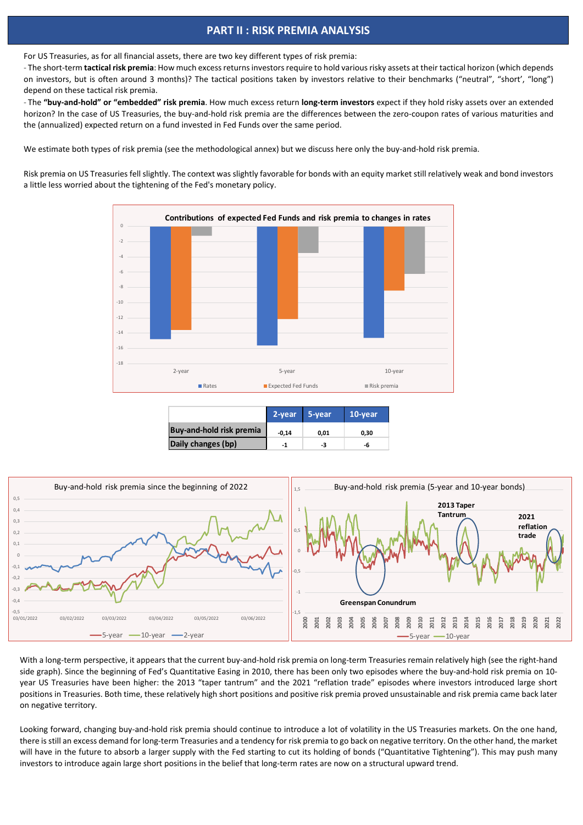For US Treasuries, as for all financial assets, there are two key different types of risk premia:

- The short-term **tactical risk premia**: How much excess returns investors require to hold various risky assets at their tactical horizon (which depends on investors, but is often around 3 months)? The tactical positions taken by investors relative to their benchmarks ("neutral", "short', "long") depend on these tactical risk premia.

- The **"buy-and-hold" or "embedded" risk premia**. How much excess return **long-term investors** expect if they hold risky assets over an extended horizon? In the case of US Treasuries, the buy-and-hold risk premia are the differences between the zero-coupon rates of various maturities and the (annualized) expected return on a fund invested in Fed Funds over the same period.

We estimate both types of risk premia (see the methodological annex) but we discuss here only the buy-and-hold risk premia.

Risk premia on US Treasuries fell slightly. The context was slightly favorable for bonds with an equity market still relatively weak and bond investors a little less worried about the tightening of the Fed's monetary policy.



|                                 | 2-year 5-year |      | 10-year |
|---------------------------------|---------------|------|---------|
| <b>Buy-and-hold risk premia</b> | $-0.14$       | 0,01 | 0,30    |
| Daily changes (bp)              | -1            | -3   | -h      |

1,5



 $\overline{\phantom{a}}$ 

With a long-term perspective, it appears that the current buy-and-hold risk premia on long-term Treasuries remain relatively high (see the right-hand side graph). Since the beginning of Fed's Quantitative Easing in 2010, there has been only two episodes where the buy-and-hold risk premia on 10 year US Treasuries have been higher: the 2013 "taper tantrum" and the 2021 "reflation trade" episodes where investors introduced large short positions in Treasuries. Both time, these relatively high short positions and positive risk premia proved unsustainable and risk premia came back later on negative territory.

Looking forward, changing buy-and-hold risk premia should continue to introduce a lot of volatility in the US Treasuries markets. On the one hand, there is still an excess demand for long-term Treasuries and a tendency for risk premia to go back on negative territory. On the other hand, the market will have in the future to absorb a larger supply with the Fed starting to cut its holding of bonds ("Quantitative Tightening"). This may push many investors to introduce again large short positions in the belief that long-term rates are now on a structural upward trend.

## **PART II : RISK PREMIA ANALYSIS**